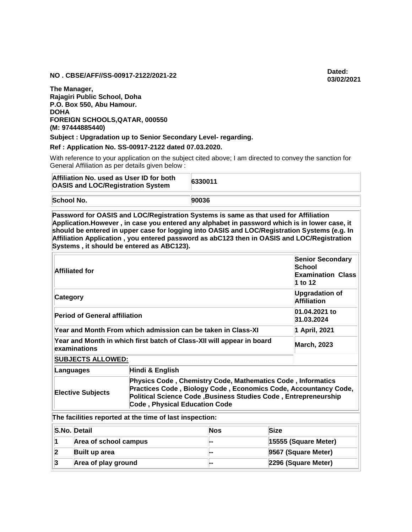## **NO . CBSE/AFF//SS-00917-2122/2021-22 Dated:**

**The Manager, Rajagiri Public School, Doha P.O. Box 550, Abu Hamour. DOHA FOREIGN SCHOOLS,QATAR, 000550 (M: 97444885440)**

**Subject : Upgradation up to Senior Secondary Level- regarding.**

**Ref : Application No. SS-00917-2122 dated 07.03.2020.**

With reference to your application on the subject cited above; I am directed to convey the sanction for General Affiliation as per details given below :

| Affiliation No. used as User ID for both<br><b>OASIS and LOC/Registration System</b> |                                                                                                                                                                                                                                                                                                                                                                                                                                 | 6330011    |               |                                                                                 |  |
|--------------------------------------------------------------------------------------|---------------------------------------------------------------------------------------------------------------------------------------------------------------------------------------------------------------------------------------------------------------------------------------------------------------------------------------------------------------------------------------------------------------------------------|------------|---------------|---------------------------------------------------------------------------------|--|
| School No.                                                                           | 90036                                                                                                                                                                                                                                                                                                                                                                                                                           |            |               |                                                                                 |  |
|                                                                                      | Password for OASIS and LOC/Registration Systems is same as that used for Affiliation<br>Application.However, in case you entered any alphabet in password which is in lower case, it<br>should be entered in upper case for logging into OASIS and LOC/Registration Systems (e.g. In<br>Affiliation Application, you entered password as abC123 then in OASIS and LOC/Registration<br>Systems, it should be entered as ABC123). |            |               |                                                                                 |  |
| <b>Affiliated for</b>                                                                |                                                                                                                                                                                                                                                                                                                                                                                                                                 |            |               | <b>Senior Secondary</b><br><b>School</b><br><b>Examination Class</b><br>1 to 12 |  |
| Category                                                                             |                                                                                                                                                                                                                                                                                                                                                                                                                                 |            |               | <b>Upgradation of</b><br><b>Affiliation</b>                                     |  |
| <b>Period of General affiliation</b>                                                 |                                                                                                                                                                                                                                                                                                                                                                                                                                 |            |               | 01.04.2021 to<br>31.03.2024                                                     |  |
| Year and Month From which admission can be taken in Class-XI                         |                                                                                                                                                                                                                                                                                                                                                                                                                                 |            | 1 April, 2021 |                                                                                 |  |
| examinations                                                                         | Year and Month in which first batch of Class-XII will appear in board                                                                                                                                                                                                                                                                                                                                                           |            |               | <b>March, 2023</b>                                                              |  |
| <b>SUBJECTS ALLOWED:</b>                                                             |                                                                                                                                                                                                                                                                                                                                                                                                                                 |            |               |                                                                                 |  |
| Languages                                                                            | Hindi & English                                                                                                                                                                                                                                                                                                                                                                                                                 |            |               |                                                                                 |  |
| <b>Elective Subjects</b>                                                             | Physics Code, Chemistry Code, Mathematics Code, Informatics<br>Political Science Code, Business Studies Code, Entrepreneurship<br><b>Code, Physical Education Code</b>                                                                                                                                                                                                                                                          |            |               | Practices Code, Biology Code, Economics Code, Accountancy Code,                 |  |
|                                                                                      | The facilities reported at the time of last inspection:                                                                                                                                                                                                                                                                                                                                                                         |            |               |                                                                                 |  |
| S.No. Detail                                                                         |                                                                                                                                                                                                                                                                                                                                                                                                                                 | <b>Nos</b> | <b>Size</b>   |                                                                                 |  |
| Area of school campus<br>1                                                           |                                                                                                                                                                                                                                                                                                                                                                                                                                 |            |               | 15555 (Square Meter)                                                            |  |
| 2<br><b>Built up area</b>                                                            |                                                                                                                                                                                                                                                                                                                                                                                                                                 |            |               | 9567 (Square Meter)                                                             |  |
| 3<br>Area of play ground                                                             |                                                                                                                                                                                                                                                                                                                                                                                                                                 |            |               | 2296 (Square Meter)                                                             |  |

**03/02/2021**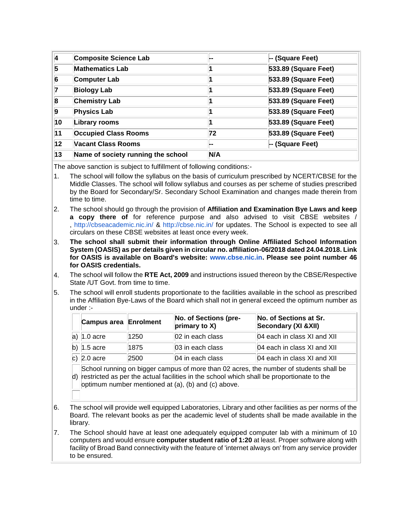| 4       | <b>Composite Science Lab</b>       |     | -- (Square Feet)            |
|---------|------------------------------------|-----|-----------------------------|
| 5       | <b>Mathematics Lab</b>             |     | 533.89 (Square Feet)        |
| 6       | <b>Computer Lab</b>                |     | 533.89 (Square Feet)        |
|         | <b>Biology Lab</b>                 |     | 533.89 (Square Feet)        |
| 8       | <b>Chemistry Lab</b>               |     | 533.89 (Square Feet)        |
| 9       | <b>Physics Lab</b>                 |     | <b>533.89 (Square Feet)</b> |
| 10      | Library rooms                      |     | 533.89 (Square Feet)        |
| 11      | <b>Occupied Class Rooms</b>        | 72  | 533.89 (Square Feet)        |
| $12 \,$ | <b>Vacant Class Rooms</b>          |     | -- (Square Feet)            |
| 13      | Name of society running the school | N/A |                             |

The above sanction is subject to fulfillment of following conditions:-

- 1. The school will follow the syllabus on the basis of curriculum prescribed by NCERT/CBSE for the Middle Classes. The school will follow syllabus and courses as per scheme of studies prescribed by the Board for Secondary/Sr. Secondary School Examination and changes made therein from time to time.
- 2. The school should go through the provision of **Affiliation and Examination Bye Laws and keep a copy there of** for reference purpose and also advised to visit CBSE websites / , <http://cbseacademic.nic.in/> & <http://cbse.nic.in/> for updates. The School is expected to see all circulars on these CBSE websites at least once every week.
- 3. **The school shall submit their information through Online Affiliated School Information System (OASIS) as per details given in circular no. affiliation-06/2018 dated 24.04.2018. Link for OASIS is available on Board's website: [www.cbse.nic.in.](http://www.cbse.nic.in/) Please see point number 46 for OASIS credentials.**
- 4. The school will follow the **RTE Act, 2009** and instructions issued thereon by the CBSE/Respective State /UT Govt. from time to time.
- 5. The school will enroll students proportionate to the facilities available in the school as prescribed in the Affiliation Bye-Laws of the Board which shall not in general exceed the optimum number as under :-

| Campus area Enrolment |      | No. of Sections (pre-<br>primary to X) | No. of Sections at Sr.<br>Secondary (XI & XII) |
|-----------------------|------|----------------------------------------|------------------------------------------------|
| a) $ 1.0$ acre        | 1250 | 02 in each class                       | 04 each in class XI and XII                    |
| b) $1.5$ acre         | 1875 | 03 in each class                       | 04 each in class XI and XII                    |
| c) $2.0$ acre         | 2500 | 04 in each class                       | 04 each in class XI and XII                    |

d) restricted as per the actual facilities in the school which shall be proportionate to the School running on bigger campus of more than 02 acres, the number of students shall be optimum number mentioned at (a), (b) and (c) above.

- 6. The school will provide well equipped Laboratories, Library and other facilities as per norms of the Board. The relevant books as per the academic level of students shall be made available in the library.
- 7. The School should have at least one adequately equipped computer lab with a minimum of 10 computers and would ensure **computer student ratio of 1:20** at least. Proper software along with facility of Broad Band connectivity with the feature of 'internet always on' from any service provider to be ensured.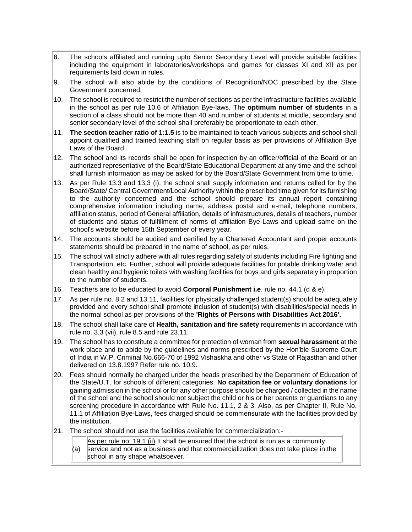- 8. The schools affiliated and running upto Senior Secondary Level will provide suitable facilities including the equipment in laboratories/workshops and games for classes XI and XII as per requirements laid down in rules.
- 9. The school will also abide by the conditions of Recognition/NOC prescribed by the State Government concerned.
- 10. The school is required to restrict the number of sections as per the infrastructure facilities available in the school as per rule 10.6 of Affiliation Bye-laws. The **optimum number of students** in a section of a class should not be more than 40 and number of students at middle, secondary and senior secondary level of the school shall preferably be proportionate to each other.
- 11. **The section teacher ratio of 1:1.5** is to be maintained to teach various subjects and school shall appoint qualified and trained teaching staff on regular basis as per provisions of Affiliation Bye Laws of the Board
- 12. The school and its records shall be open for inspection by an officer/official of the Board or an authorized representative of the Board/State Educational Department at any time and the school shall furnish information as may be asked for by the Board/State Government from time to time.
- 13. As per Rule 13.3 and 13.3 (i), the school shall supply information and returns called for by the Board/State/ Central Government/Local Authority within the prescribed time given for its furnishing to the authority concerned and the school should prepare its annual report containing comprehensive information including name, address postal and e-mail, telephone numbers, affiliation status, period of General affiliation, details of infrastructures, details of teachers, number of students and status of fulfillment of norms of affiliation Bye-Laws and upload same on the school's website before 15th September of every year.
- 14. The accounts should be audited and certified by a Chartered Accountant and proper accounts statements should be prepared in the name of school, as per rules.
- 15. The school will strictly adhere with all rules regarding safety of students including Fire fighting and Transportation, etc. Further, school will provide adequate facilities for potable drinking water and clean healthy and hygienic toilets with washing facilities for boys and girls separately in proportion to the number of students.
- 16. Teachers are to be educated to avoid **Corporal Punishment i.e**. rule no. 44.1 (d & e).
- 17. As per rule no. 8.2 and 13.11, facilities for physically challenged student(s) should be adequately provided and every school shall promote inclusion of student(s) with disabilities/special needs in the normal school as per provisions of the **'Rights of Persons with Disabilities Act 2016'.**
- 18. The school shall take care of **Health, sanitation and fire safety** requirements in accordance with rule no. 3.3 (vii), rule 8.5 and rule 23.11.
- 19. The school has to constitute a committee for protection of woman from **sexual harassment** at the work place and to abide by the guidelines and norms prescribed by the Hon'ble Supreme Court of India in W.P. Criminal No.666-70 of 1992 Vishaskha and other vs State of Rajasthan and other delivered on 13.8.1997 Refer rule no. 10.9.
- 20. Fees should normally be charged under the heads prescribed by the Department of Education of the State/U.T. for schools of different categories. **No capitation fee or voluntary donations** for gaining admission in the school or for any other purpose should be charged / collected in the name of the school and the school should not subject the child or his or her parents or guardians to any screening procedure in accordance with Rule No. 11.1, 2 & 3. Also, as per Chapter II, Rule No. 11.1 of Affiliation Bye-Laws, fees charged should be commensurate with the facilities provided by the institution.
- 21. The school should not use the facilities available for commercialization:-
	- (a) As per rule no. 19.1 (ii) It shall be ensured that the school is run as a community service and not as a business and that commercialization does not take place in the
		- school in any shape whatsoever.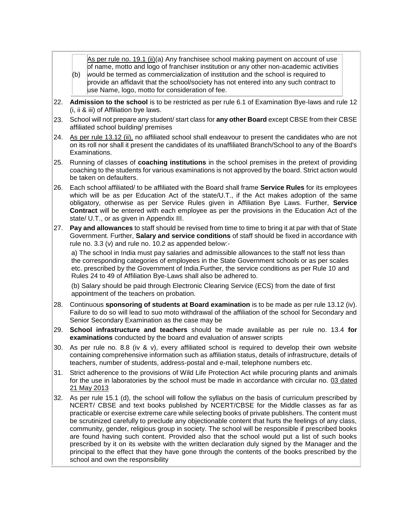| As per rule no. 19.1 (ii)(a) Any franchisee school making payment on account of use    |
|----------------------------------------------------------------------------------------|
| of name, motto and logo of franchiser institution or any other non-academic activities |

- (b) would be termed as commercialization of institution and the school is required to provide an affidavit that the school/society has not entered into any such contract to use Name, logo, motto for consideration of fee.
- 22. **Admission to the school** is to be restricted as per rule 6.1 of Examination Bye-laws and rule 12 (i, ii & iii) of Affiliation bye laws.
- 23. School will not prepare any student/ start class for **any other Board** except CBSE from their CBSE affiliated school building/ premises
- 24. As per rule 13.12 (ii), no affiliated school shall endeavour to present the candidates who are not on its roll nor shall it present the candidates of its unaffiliated Branch/School to any of the Board's Examinations.
- 25. Running of classes of **coaching institutions** in the school premises in the pretext of providing coaching to the students for various examinations is not approved by the board. Strict action would be taken on defaulters.
- 26. Each school affiliated/ to be affiliated with the Board shall frame **Service Rules** for its employees which will be as per Education Act of the state/U.T., if the Act makes adoption of the same obligatory, otherwise as per Service Rules given in Affiliation Bye Laws. Further, **Service Contract** will be entered with each employee as per the provisions in the Education Act of the state/ U.T., or as given in Appendix III.
- 27. **Pay and allowances** to staff should be revised from time to time to bring it at par with that of State Government. Further, **Salary and service conditions** of staff should be fixed in accordance with rule no. 3.3 (v) and rule no. 10.2 as appended below:-

a) The school in India must pay salaries and admissible allowances to the staff not less than the corresponding categories of employees in the State Government schools or as per scales etc. prescribed by the Government of India.Further, the service conditions as per Rule 10 and Rules 24 to 49 of Affiliation Bye-Laws shall also be adhered to.

(b) Salary should be paid through Electronic Clearing Service (ECS) from the date of first appointment of the teachers on probation.

- 28. Continuous **sponsoring of students at Board examination** is to be made as per rule 13.12 (iv). Failure to do so will lead to suo moto withdrawal of the affiliation of the school for Secondary and Senior Secondary Examination as the case may be
- 29. **School infrastructure and teachers** should be made available as per rule no. 13.4 **for examinations** conducted by the board and evaluation of answer scripts
- 30. As per rule no. 8.8 (iv & v), every affiliated school is required to develop their own website containing comprehensive information such as affiliation status, details of infrastructure, details of teachers, number of students, address-postal and e-mail, telephone numbers etc.
- 31. Strict adherence to the provisions of Wild Life Protection Act while procuring plants and animals for the use in laboratories by the school must be made in accordance with circular no. 03 dated 21 May 2013
- 32. As per rule 15.1 (d), the school will follow the syllabus on the basis of curriculum prescribed by NCERT/ CBSE and text books published by NCERT/CBSE for the Middle classes as far as practicable or exercise extreme care while selecting books of private publishers. The content must be scrutinized carefully to preclude any objectionable content that hurts the feelings of any class, community, gender, religious group in society. The school will be responsible if prescribed books are found having such content. Provided also that the school would put a list of such books prescribed by it on its website with the written declaration duly signed by the Manager and the principal to the effect that they have gone through the contents of the books prescribed by the school and own the responsibility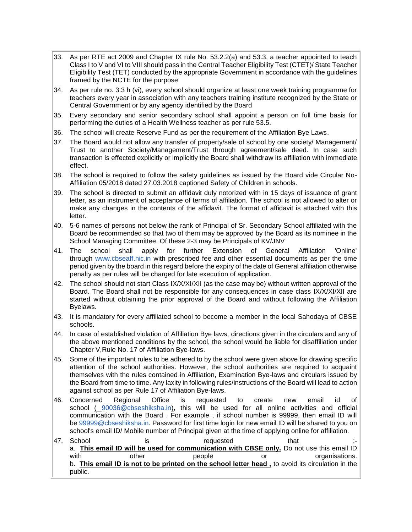- 33. As per RTE act 2009 and Chapter IX rule No. 53.2.2(a) and 53.3, a teacher appointed to teach Class I to V and VI to VIII should pass in the Central Teacher Eligibility Test (CTET)/ State Teacher Eligibility Test (TET) conducted by the appropriate Government in accordance with the guidelines framed by the NCTE for the purpose
- 34. As per rule no. 3.3 h (vi), every school should organize at least one week training programme for teachers every year in association with any teachers training institute recognized by the State or Central Government or by any agency identified by the Board
- 35. Every secondary and senior secondary school shall appoint a person on full time basis for performing the duties of a Health Wellness teacher as per rule 53.5.
- 36. The school will create Reserve Fund as per the requirement of the Affiliation Bye Laws.
- 37. The Board would not allow any transfer of property/sale of school by one society/ Management/ Trust to another Society/Management/Trust through agreement/sale deed. In case such transaction is effected explicitly or implicitly the Board shall withdraw its affiliation with immediate effect.
- 38. The school is required to follow the safety guidelines as issued by the Board vide Circular No-Affiliation 05/2018 dated 27.03.2018 captioned Safety of Children in schools.
- 39. The school is directed to submit an affidavit duly notorized with in 15 days of issuance of grant letter, as an instrument of acceptance of terms of affiliation. The school is not allowed to alter or make any changes in the contents of the affidavit. The format of affidavit is attached with this letter.
- 40. 5-6 names of persons not below the rank of Principal of Sr. Secondary School affiliated with the Board be recommended so that two of them may be approved by the Board as its nominee in the School Managing Committee. Of these 2-3 may be Principals of KV/JNV
- 41. The school shall apply for further Extension of General Affiliation 'Online' through [www.cbseaff.nic.in](http://www.cbseaff.nic.in/) with prescribed fee and other essential documents as per the time period given by the board in this regard before the expiry of the date of General affiliation otherwise penalty as per rules will be charged for late execution of application.
- 42. The school should not start Class IX/X/XI/XII (as the case may be) without written approval of the Board. The Board shall not be responsible for any consequences in case class IX/X/XI/XII are started without obtaining the prior approval of the Board and without following the Affiliation Byelaws.
- 43. It is mandatory for every affiliated school to become a member in the local Sahodaya of CBSE schools.
- 44. In case of established violation of Affiliation Bye laws, directions given in the circulars and any of the above mentioned conditions by the school, the school would be liable for disaffiliation under Chapter V,Rule No. 17 of Affiliation Bye-laws.
- 45. Some of the important rules to be adhered to by the school were given above for drawing specific attention of the school authorities. However, the school authorities are required to acquaint themselves with the rules contained in Affiliation, Examination Bye-laws and circulars issued by the Board from time to time. Any laxity in following rules/instructions of the Board will lead to action against school as per Rule 17 of Affiliation Bye-laws.
- 46. Concerned Regional Office is requested to create new email id of school ( [90036@cbseshiksha.in\)](mailto:90036@cbseshiksha.in), this will be used for all online activities and official communication with the Board . For example , if school number is 99999, then email ID will be [99999@cbseshiksha.in.](mailto:99999@cbseshiksha.in) Password for first time login for new email ID will be shared to you on school's email ID/ Mobile number of Principal given at the time of applying online for affiliation.
- 47. School is requested that : a. **This email ID will be used for communication with CBSE only.** Do not use this email ID with other people or or organisations. b. **This email ID is not to be printed on the school letter head ,** to avoid its circulation in the public.